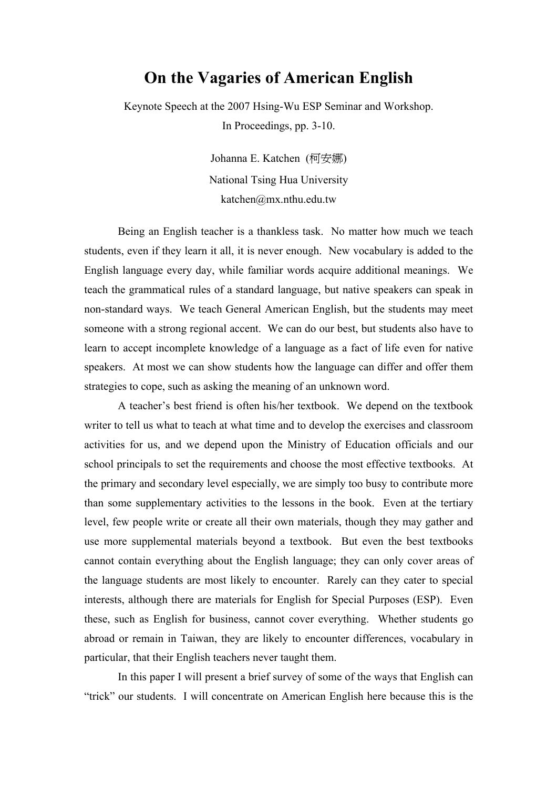# **On the Vagaries of American English**

Keynote Speech at the 2007 Hsing-Wu ESP Seminar and Workshop. In Proceedings, pp. 3-10.

> Johanna E. Katchen (柯安娜) National Tsing Hua University katchen@mx.nthu.edu.tw

Being an English teacher is a thankless task. No matter how much we teach students, even if they learn it all, it is never enough. New vocabulary is added to the English language every day, while familiar words acquire additional meanings. We teach the grammatical rules of a standard language, but native speakers can speak in non-standard ways. We teach General American English, but the students may meet someone with a strong regional accent. We can do our best, but students also have to learn to accept incomplete knowledge of a language as a fact of life even for native speakers. At most we can show students how the language can differ and offer them strategies to cope, such as asking the meaning of an unknown word.

A teacher's best friend is often his/her textbook. We depend on the textbook writer to tell us what to teach at what time and to develop the exercises and classroom activities for us, and we depend upon the Ministry of Education officials and our school principals to set the requirements and choose the most effective textbooks. At the primary and secondary level especially, we are simply too busy to contribute more than some supplementary activities to the lessons in the book. Even at the tertiary level, few people write or create all their own materials, though they may gather and use more supplemental materials beyond a textbook. But even the best textbooks cannot contain everything about the English language; they can only cover areas of the language students are most likely to encounter. Rarely can they cater to special interests, although there are materials for English for Special Purposes (ESP). Even these, such as English for business, cannot cover everything. Whether students go abroad or remain in Taiwan, they are likely to encounter differences, vocabulary in particular, that their English teachers never taught them.

In this paper I will present a brief survey of some of the ways that English can "trick" our students. I will concentrate on American English here because this is the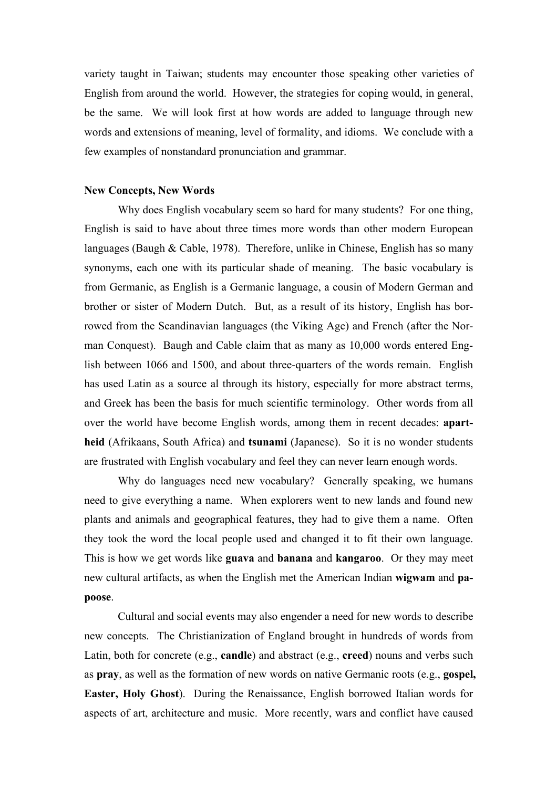variety taught in Taiwan; students may encounter those speaking other varieties of English from around the world. However, the strategies for coping would, in general, be the same. We will look first at how words are added to language through new words and extensions of meaning, level of formality, and idioms. We conclude with a few examples of nonstandard pronunciation and grammar.

#### **New Concepts, New Words**

Why does English vocabulary seem so hard for many students? For one thing, English is said to have about three times more words than other modern European languages (Baugh & Cable, 1978). Therefore, unlike in Chinese, English has so many synonyms, each one with its particular shade of meaning. The basic vocabulary is from Germanic, as English is a Germanic language, a cousin of Modern German and brother or sister of Modern Dutch. But, as a result of its history, English has borrowed from the Scandinavian languages (the Viking Age) and French (after the Norman Conquest). Baugh and Cable claim that as many as 10,000 words entered English between 1066 and 1500, and about three-quarters of the words remain. English has used Latin as a source al through its history, especially for more abstract terms, and Greek has been the basis for much scientific terminology. Other words from all over the world have become English words, among them in recent decades: **apartheid** (Afrikaans, South Africa) and **tsunami** (Japanese). So it is no wonder students are frustrated with English vocabulary and feel they can never learn enough words.

Why do languages need new vocabulary? Generally speaking, we humans need to give everything a name. When explorers went to new lands and found new plants and animals and geographical features, they had to give them a name. Often they took the word the local people used and changed it to fit their own language. This is how we get words like **guava** and **banana** and **kangaroo**. Or they may meet new cultural artifacts, as when the English met the American Indian **wigwam** and **papoose**.

Cultural and social events may also engender a need for new words to describe new concepts. The Christianization of England brought in hundreds of words from Latin, both for concrete (e.g., **candle**) and abstract (e.g., **creed**) nouns and verbs such as **pray**, as well as the formation of new words on native Germanic roots (e.g., **gospel, Easter, Holy Ghost**). During the Renaissance, English borrowed Italian words for aspects of art, architecture and music. More recently, wars and conflict have caused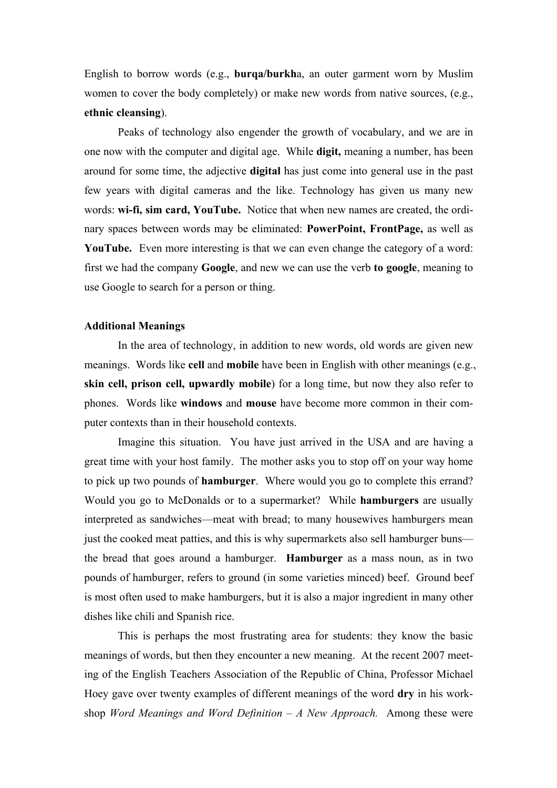English to borrow words (e.g., **burqa/burkh**a, an outer garment worn by Muslim women to cover the body completely) or make new words from native sources, (e.g., **ethnic cleansing**).

Peaks of technology also engender the growth of vocabulary, and we are in one now with the computer and digital age. While **digit,** meaning a number, has been around for some time, the adjective **digital** has just come into general use in the past few years with digital cameras and the like. Technology has given us many new words: **wi-fi, sim card, YouTube.** Notice that when new names are created, the ordinary spaces between words may be eliminated: **PowerPoint, FrontPage,** as well as **YouTube.** Even more interesting is that we can even change the category of a word: first we had the company **Google**, and new we can use the verb **to google**, meaning to use Google to search for a person or thing.

#### **Additional Meanings**

In the area of technology, in addition to new words, old words are given new meanings. Words like **cell** and **mobile** have been in English with other meanings (e.g., **skin cell, prison cell, upwardly mobile**) for a long time, but now they also refer to phones. Words like **windows** and **mouse** have become more common in their computer contexts than in their household contexts.

Imagine this situation. You have just arrived in the USA and are having a great time with your host family. The mother asks you to stop off on your way home to pick up two pounds of **hamburger**. Where would you go to complete this errand? Would you go to McDonalds or to a supermarket? While **hamburgers** are usually interpreted as sandwiches—meat with bread; to many housewives hamburgers mean just the cooked meat patties, and this is why supermarkets also sell hamburger buns the bread that goes around a hamburger. **Hamburger** as a mass noun, as in two pounds of hamburger, refers to ground (in some varieties minced) beef. Ground beef is most often used to make hamburgers, but it is also a major ingredient in many other dishes like chili and Spanish rice.

 This is perhaps the most frustrating area for students: they know the basic meanings of words, but then they encounter a new meaning. At the recent 2007 meeting of the English Teachers Association of the Republic of China, Professor Michael Hoey gave over twenty examples of different meanings of the word **dry** in his workshop *Word Meanings and Word Definition – A New Approach.* Among these were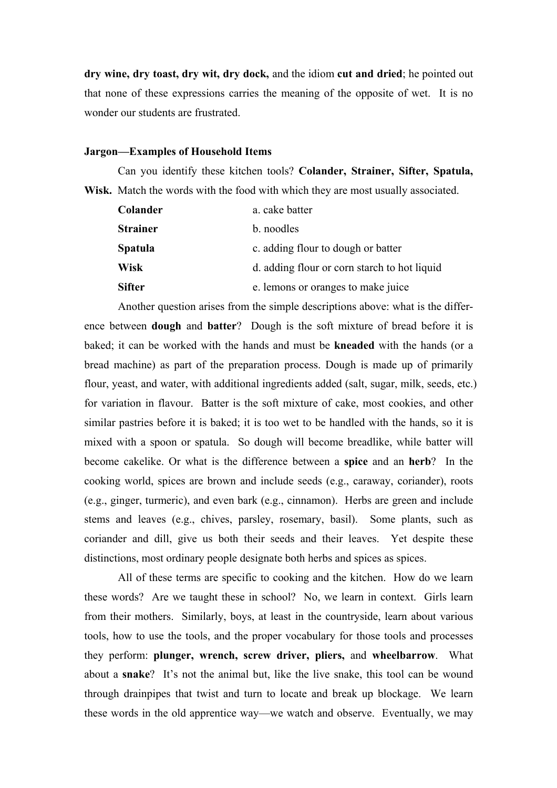**dry wine, dry toast, dry wit, dry dock,** and the idiom **cut and dried**; he pointed out that none of these expressions carries the meaning of the opposite of wet. It is no wonder our students are frustrated.

#### **Jargon—Examples of Household Items**

Can you identify these kitchen tools? **Colander, Strainer, Sifter, Spatula, Wisk.** Match the words with the food with which they are most usually associated.

| Colander        | a. cake batter                               |
|-----------------|----------------------------------------------|
| <b>Strainer</b> | b. noodles                                   |
| <b>Spatula</b>  | c. adding flour to dough or batter           |
| <b>Wisk</b>     | d. adding flour or corn starch to hot liquid |
| <b>Sifter</b>   | e. lemons or oranges to make juice           |

Another question arises from the simple descriptions above: what is the difference between **dough** and **batter**? Dough is the soft mixture of bread before it is baked; it can be worked with the hands and must be **kneaded** with the hands (or a bread machine) as part of the preparation process. Dough is made up of primarily flour, yeast, and water, with additional ingredients added (salt, sugar, milk, seeds, etc.) for variation in flavour. Batter is the soft mixture of cake, most cookies, and other similar pastries before it is baked; it is too wet to be handled with the hands, so it is mixed with a spoon or spatula. So dough will become breadlike, while batter will become cakelike. Or what is the difference between a **spice** and an **herb**? In the cooking world, spices are brown and include seeds (e.g., caraway, coriander), roots (e.g., ginger, turmeric), and even bark (e.g., cinnamon). Herbs are green and include stems and leaves (e.g., chives, parsley, rosemary, basil). Some plants, such as coriander and dill, give us both their seeds and their leaves. Yet despite these distinctions, most ordinary people designate both herbs and spices as spices.

All of these terms are specific to cooking and the kitchen. How do we learn these words? Are we taught these in school? No, we learn in context. Girls learn from their mothers. Similarly, boys, at least in the countryside, learn about various tools, how to use the tools, and the proper vocabulary for those tools and processes they perform: **plunger, wrench, screw driver, pliers,** and **wheelbarrow**. What about a **snake**? It's not the animal but, like the live snake, this tool can be wound through drainpipes that twist and turn to locate and break up blockage. We learn these words in the old apprentice way—we watch and observe. Eventually, we may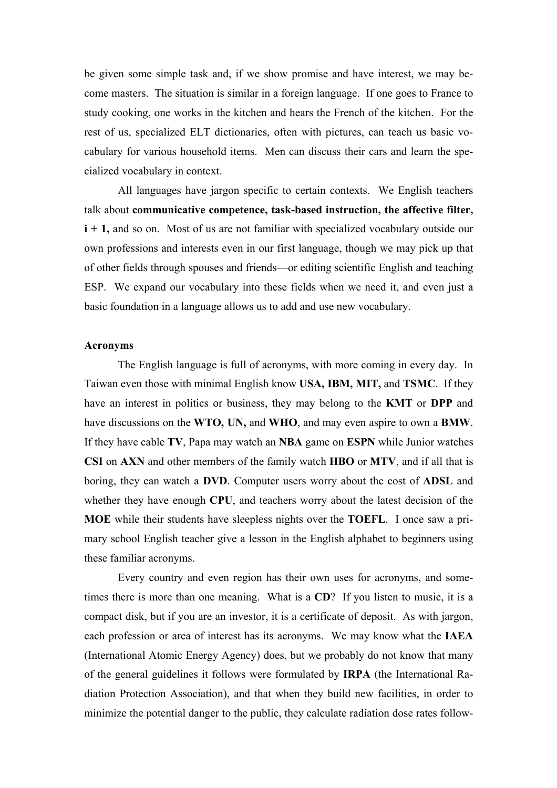be given some simple task and, if we show promise and have interest, we may become masters. The situation is similar in a foreign language. If one goes to France to study cooking, one works in the kitchen and hears the French of the kitchen. For the rest of us, specialized ELT dictionaries, often with pictures, can teach us basic vocabulary for various household items. Men can discuss their cars and learn the specialized vocabulary in context.

 All languages have jargon specific to certain contexts. We English teachers talk about **communicative competence, task-based instruction, the affective filter, i + 1,** and so on. Most of us are not familiar with specialized vocabulary outside our own professions and interests even in our first language, though we may pick up that of other fields through spouses and friends—or editing scientific English and teaching ESP. We expand our vocabulary into these fields when we need it, and even just a basic foundation in a language allows us to add and use new vocabulary.

### **Acronyms**

The English language is full of acronyms, with more coming in every day. In Taiwan even those with minimal English know **USA, IBM, MIT,** and **TSMC**. If they have an interest in politics or business, they may belong to the **KMT** or **DPP** and have discussions on the **WTO, UN,** and **WHO**, and may even aspire to own a **BMW**. If they have cable **TV**, Papa may watch an **NBA** game on **ESPN** while Junior watches **CSI** on **AXN** and other members of the family watch **HBO** or **MTV**, and if all that is boring, they can watch a **DVD**. Computer users worry about the cost of **ADSL** and whether they have enough **CPU**, and teachers worry about the latest decision of the **MOE** while their students have sleepless nights over the **TOEFL**. I once saw a primary school English teacher give a lesson in the English alphabet to beginners using these familiar acronyms.

Every country and even region has their own uses for acronyms, and sometimes there is more than one meaning. What is a **CD**? If you listen to music, it is a compact disk, but if you are an investor, it is a certificate of deposit. As with jargon, each profession or area of interest has its acronyms. We may know what the **IAEA** (International Atomic Energy Agency) does, but we probably do not know that many of the general guidelines it follows were formulated by **IRPA** (the International Radiation Protection Association), and that when they build new facilities, in order to minimize the potential danger to the public, they calculate radiation dose rates follow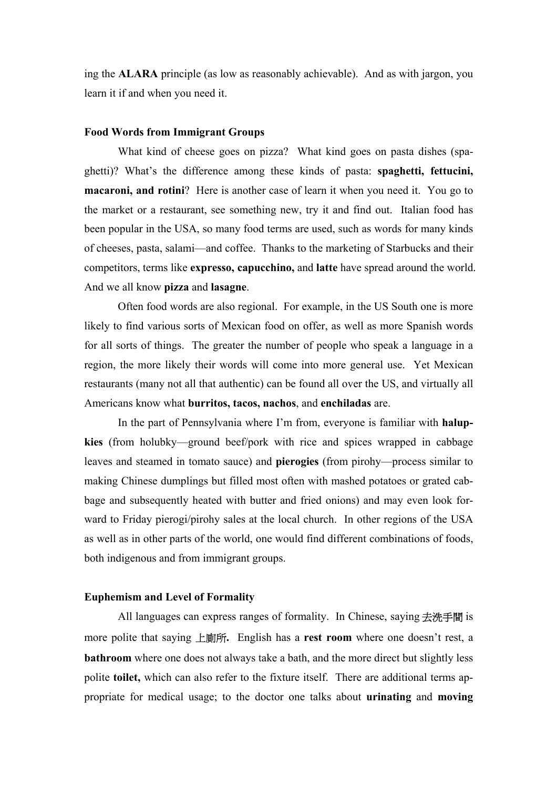ing the **ALARA** principle (as low as reasonably achievable). And as with jargon, you learn it if and when you need it.

## **Food Words from Immigrant Groups**

What kind of cheese goes on pizza? What kind goes on pasta dishes (spaghetti)? What's the difference among these kinds of pasta: **spaghetti, fettucini, macaroni, and rotini**? Here is another case of learn it when you need it. You go to the market or a restaurant, see something new, try it and find out. Italian food has been popular in the USA, so many food terms are used, such as words for many kinds of cheeses, pasta, salami—and coffee. Thanks to the marketing of Starbucks and their competitors, terms like **expresso, capucchino,** and **latte** have spread around the world. And we all know **pizza** and **lasagne**.

Often food words are also regional. For example, in the US South one is more likely to find various sorts of Mexican food on offer, as well as more Spanish words for all sorts of things. The greater the number of people who speak a language in a region, the more likely their words will come into more general use. Yet Mexican restaurants (many not all that authentic) can be found all over the US, and virtually all Americans know what **burritos, tacos, nachos**, and **enchiladas** are.

In the part of Pennsylvania where I'm from, everyone is familiar with **halupkies** (from holubky—ground beef/pork with rice and spices wrapped in cabbage leaves and steamed in tomato sauce) and **pierogies** (from pirohy—process similar to making Chinese dumplings but filled most often with mashed potatoes or grated cabbage and subsequently heated with butter and fried onions) and may even look forward to Friday pierogi/pirohy sales at the local church. In other regions of the USA as well as in other parts of the world, one would find different combinations of foods, both indigenous and from immigrant groups.

### **Euphemism and Level of Formality**

All languages can express ranges of formality. In Chinese, saying 去洗手間 is more polite that saying 上廁所**.** English has a **rest room** where one doesn't rest, a **bathroom** where one does not always take a bath, and the more direct but slightly less polite **toilet,** which can also refer to the fixture itself. There are additional terms appropriate for medical usage; to the doctor one talks about **urinating** and **moving**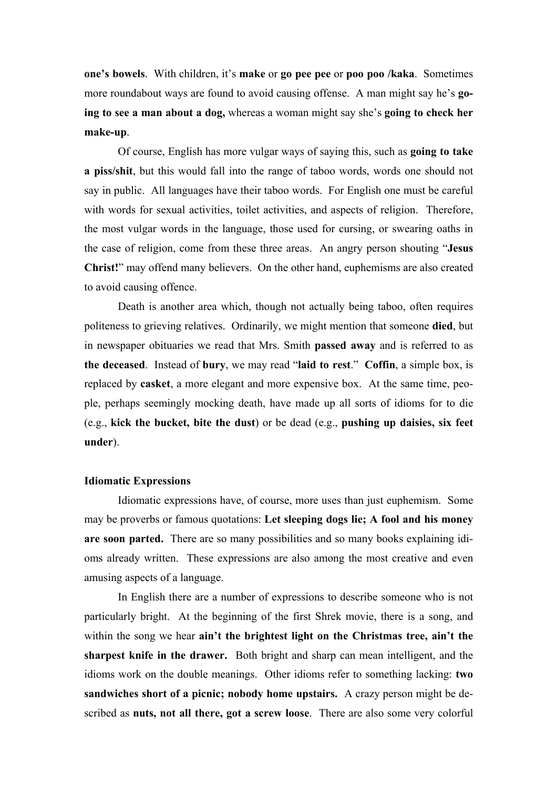**one's bowels**. With children, it's **make** or **go pee pee** or **poo poo /kaka**. Sometimes more roundabout ways are found to avoid causing offense. A man might say he's **going to see a man about a dog,** whereas a woman might say she's **going to check her make-up**.

Of course, English has more vulgar ways of saying this, such as **going to take a piss/shit**, but this would fall into the range of taboo words, words one should not say in public. All languages have their taboo words. For English one must be careful with words for sexual activities, toilet activities, and aspects of religion. Therefore, the most vulgar words in the language, those used for cursing, or swearing oaths in the case of religion, come from these three areas. An angry person shouting "**Jesus Christ!**" may offend many believers. On the other hand, euphemisms are also created to avoid causing offence.

Death is another area which, though not actually being taboo, often requires politeness to grieving relatives. Ordinarily, we might mention that someone **died**, but in newspaper obituaries we read that Mrs. Smith **passed away** and is referred to as **the deceased**. Instead of **bury**, we may read "**laid to rest**." **Coffin**, a simple box, is replaced by **casket**, a more elegant and more expensive box. At the same time, people, perhaps seemingly mocking death, have made up all sorts of idioms for to die (e.g., **kick the bucket, bite the dust**) or be dead (e.g., **pushing up daisies, six feet under**).

### **Idiomatic Expressions**

Idiomatic expressions have, of course, more uses than just euphemism. Some may be proverbs or famous quotations: **Let sleeping dogs lie; A fool and his money are soon parted.** There are so many possibilities and so many books explaining idioms already written. These expressions are also among the most creative and even amusing aspects of a language.

In English there are a number of expressions to describe someone who is not particularly bright. At the beginning of the first Shrek movie, there is a song, and within the song we hear **ain't the brightest light on the Christmas tree, ain't the sharpest knife in the drawer.** Both bright and sharp can mean intelligent, and the idioms work on the double meanings. Other idioms refer to something lacking: **two sandwiches short of a picnic; nobody home upstairs.** A crazy person might be described as **nuts, not all there, got a screw loose**. There are also some very colorful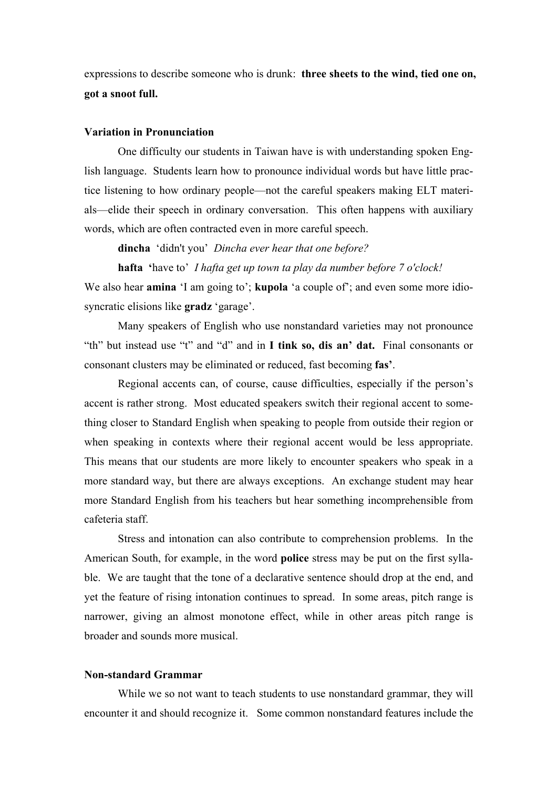expressions to describe someone who is drunk: **three sheets to the wind, tied one on, got a snoot full.**

## **Variation in Pronunciation**

 One difficulty our students in Taiwan have is with understanding spoken English language. Students learn how to pronounce individual words but have little practice listening to how ordinary people—not the careful speakers making ELT materials—elide their speech in ordinary conversation. This often happens with auxiliary words, which are often contracted even in more careful speech.

**dincha** 'didn't you' *Dincha ever hear that one before?* 

**hafta '**have to' *I hafta get up town ta play da number before 7 o'clock!*

We also hear **amina** 'I am going to'; **kupola** 'a couple of'; and even some more idiosyncratic elisions like **gradz** 'garage'.

 Many speakers of English who use nonstandard varieties may not pronounce "th" but instead use "t" and "d" and in **I tink so, dis an' dat.** Final consonants or consonant clusters may be eliminated or reduced, fast becoming **fas'**.

Regional accents can, of course, cause difficulties, especially if the person's accent is rather strong. Most educated speakers switch their regional accent to something closer to Standard English when speaking to people from outside their region or when speaking in contexts where their regional accent would be less appropriate. This means that our students are more likely to encounter speakers who speak in a more standard way, but there are always exceptions. An exchange student may hear more Standard English from his teachers but hear something incomprehensible from cafeteria staff.

Stress and intonation can also contribute to comprehension problems. In the American South, for example, in the word **police** stress may be put on the first syllable. We are taught that the tone of a declarative sentence should drop at the end, and yet the feature of rising intonation continues to spread. In some areas, pitch range is narrower, giving an almost monotone effect, while in other areas pitch range is broader and sounds more musical.

## **Non-standard Grammar**

While we so not want to teach students to use nonstandard grammar, they will encounter it and should recognize it. Some common nonstandard features include the